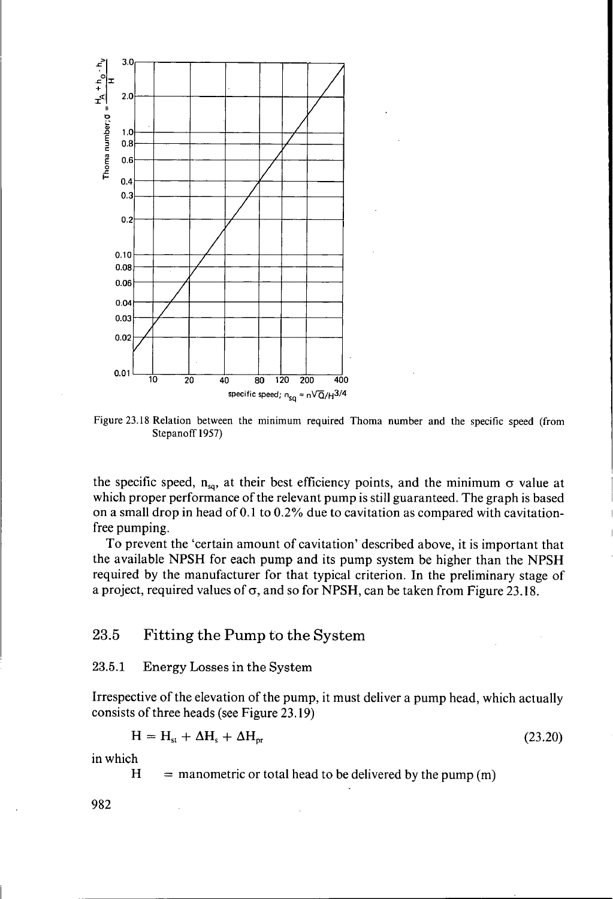

Figure **23.18** Relation between the minimum required Thoma number and the specific speed (from Stepanoff 1957)

the specific speed,  $n_{sq}$ , at their best efficiency points, and the minimum  $\sigma$  value at which proper performance of the relevant pump is still guaranteed. The graph is based on a small drop in head of  $0.1$  to  $0.2\%$  due to cavitation as compared with cavitationfree pumping.

To prevent the 'certain amount of cavitation' described above, it is important that the available NPSH for each pump and its pump system be higher than the NPSH required by the manufacturer for that typical criterion. In the preliminary stage of a project, required values of *o,* and so for NPSH, can be taken from Figure 23.18.

# **23.5** Fitting the Pump to the System

### **23.5.1** Energy Losses in the System

Irrespective of the elevation of the pump, it must deliver a pump head, which actually consists of three heads (see Figure 23.19)

$$
H = H_{st} + \Delta H_s + \Delta H_{pr}
$$
 (23.20)

in which

 $H =$  manometric or total head to be delivered by the pump  $(m)$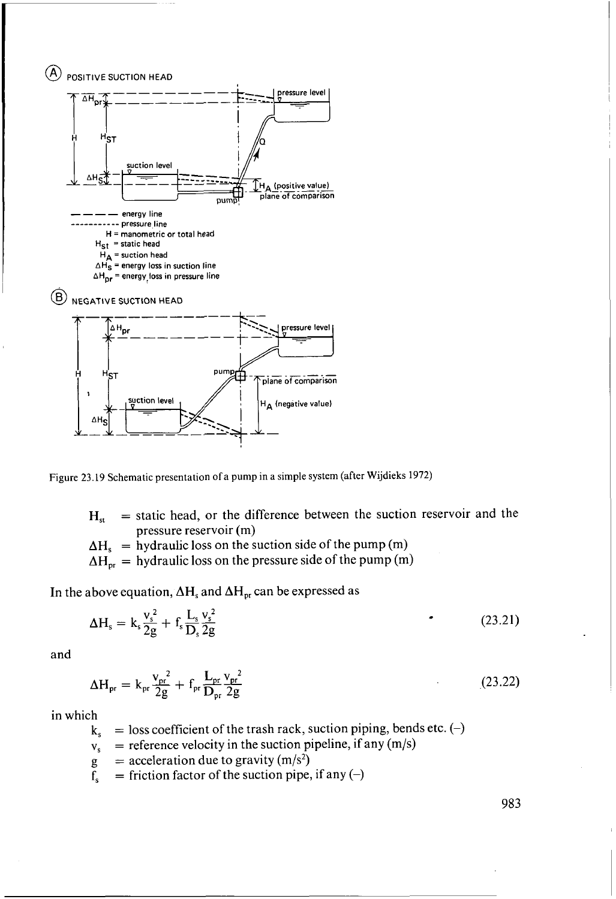



- $H_{st}$  = static head, or the difference between the suction reservoir and the pressure reservoir (m)
- $\Delta H_s$  = hydraulic loss on the suction side of the pump (m)
- $\Delta H_{\text{pr}}$  = hydraulic loss on the pressure side of the pump (m)

In the above equation,  $\Delta H_s$  and  $\Delta H_{pr}$  can be expressed as

$$
\Delta H_s = k_s \frac{v_s^2}{2g} + f_s \frac{L_s}{D_s} \frac{v_s^2}{2g}
$$
 (23.21)

and

$$
\Delta H_{\rm pr} = k_{\rm pr} \frac{v_{\rm pr}^2}{2g} + f_{\rm pr} \frac{L_{\rm pr}}{D_{\rm pr}} \frac{v_{\rm pr}^2}{2g}
$$
 (23.22)

in which

- **k,**   $=$  loss coefficient of the trash rack, suction piping, bends etc. (-)
- **v,**   $=$  reference velocity in the suction pipeline, if any  $(m/s)$
- g  $=$  acceleration due to gravity (m/s<sup>2</sup>)
- f,  $=$  friction factor of the suction pipe, if any  $(-)$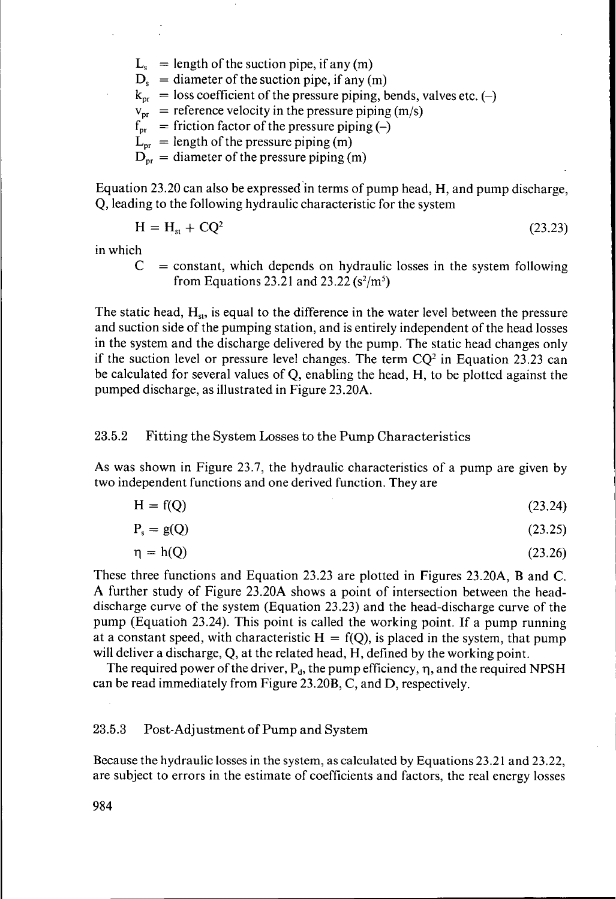$L<sub>s</sub>$  = length of the suction pipe, if any (m)  $D<sub>s</sub> =$  diameter of the suction pipe, if any (m)  $k_{\text{pr}}$  = loss coefficient of the pressure piping, bends, valves etc. (-)  $v_{\text{pr}}$  = reference velocity in the pressure piping (m/s)  $f_{\text{pr}}$  = friction factor of the pressure piping (-)  $L_{\text{or}}$  = length of the pressure piping (m)  $D_{\text{pr}}$  = diameter of the pressure piping (m)

Equation 23.20 can also be expressed'in terms of pump head, H, and pump discharge, Q, leading to the following hydraulic characteristic for the system

$$
H = Hst + CQ2
$$
 (23.23)

in which

 $=$  constant, which depends on hydraulic losses in the system following *C*  from Equations 23.21 and 23.22  $(s^2/m^5)$ 

The static head,  $H_{st}$ , is equal to the difference in the water level between the pressure and suction side of the pumping station, and is entirely independent of the head losses in the system and the discharge delivered by the pump. The static head changes only if the suction level or pressure level changes. The term  $CQ<sup>2</sup>$  in Equation 23.23 can be calculated for several values of Q, enabling the head, **H,** to be plotted against the pumped discharge, as illustrated in Figure 23.20A.

#### 23.5.2 Fitting the System Losses to the Pump Characteristics

**As** was shown in Figure 23.7, the hydraulic characteristics of a pump are given by two independent functions and one derived function. They are

$$
H = f(Q) \tag{23.24}
$$

$$
P_s = g(Q) \tag{23.25}
$$

$$
\eta = h(Q) \tag{23.26}
$$

These three functions and Equation 23.23 are plotted in Figures 23.20A, B and C. **A** further study of Figure 23.20A shows a point of intersection between the headdischarge curve of the system (Equation 23.23) and the head-discharge curve of the pump (Equation 23.24). This point is called the working point. If a pump running at a constant speed, with characteristic  $H = f(Q)$ , is placed in the system, that pump will deliver a discharge, Q, at the related head, H, defined by the working point.

The required power of the driver,  $P_d$ , the pump efficiency,  $\eta$ , and the required NPSH can be read immediately from Figure 23.20B, C, and D, respectively.

#### 23.5.3 Post-Adjustment of Pump and System

Because the hydraulic losses in the system, as calculated by Equations 23.21 and 23.22, are subject to errors in the estimate of coefficients and factors, the real energy losses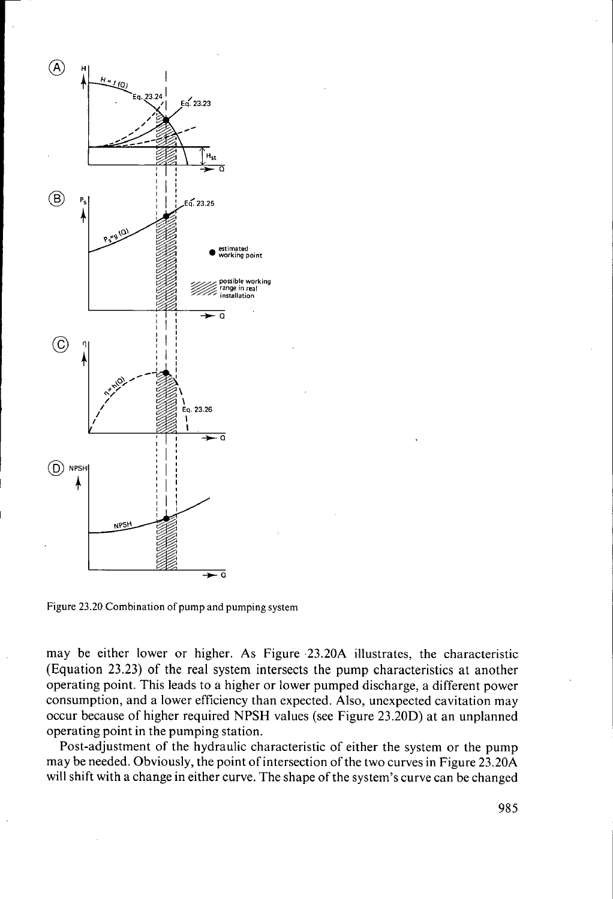

Figure **23.20** Combination of pump and pumping **system** 

may be either lower or higher. As Figure .23.20A illustrates, the characteristic (Equation 23.23) of the real system intersects the pump characteristics at another operating point. This leads to a higher or lower pumped discharge, a different power consumption, and a lower efficiency than expected. Also, unexpected cavitation may occur because of higher required NPSH values (see Figure 23.20D) at an unplanned operating point in the pumping station.

Post-adjustment of the hydraulic characteristic of either the system or the pump may be needed. Obviously, the point of intersection of the two curves in Figure 23.20A will shift with a change in either curve. The shape of the system's curve can be changed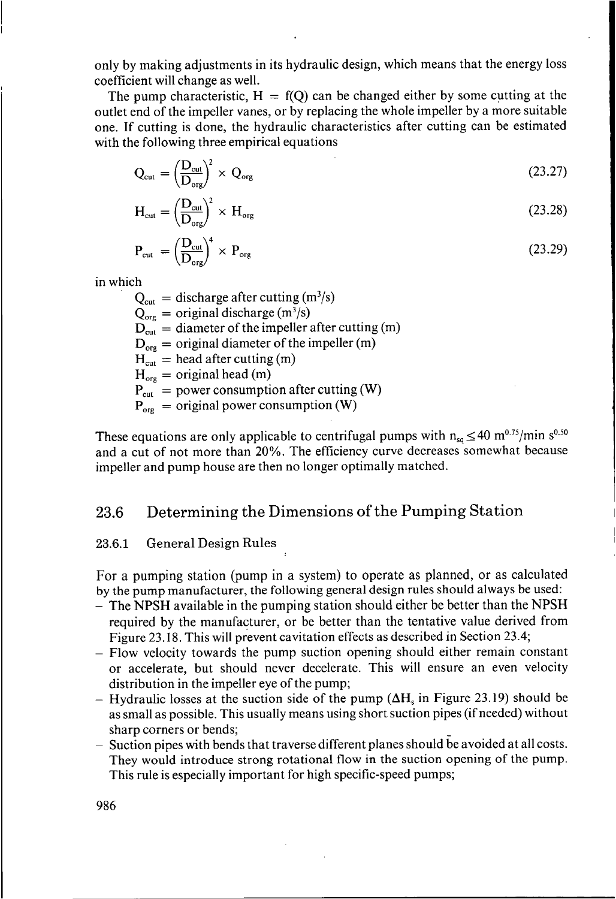only by making adjustments in its hydraulic design, which means that the energy loss coefficient will change as well.

The pump characteristic,  $H = f(Q)$  can be changed either by some cutting at the outlet end of the impeller vanes, or by replacing the whole impeller by a more suitable one. If cutting is done, the hydraulic characteristics after cutting can be estimated with the following three empirical equations

$$
Q_{\text{cut}} = \left(\frac{D_{\text{cut}}}{D_{\text{org}}}\right)^2 \times Q_{\text{org}}
$$
\n(23.27)

$$
H_{\rm cut} = \left(\frac{D_{\rm cut}}{D_{\rm org}}\right)^2 \times H_{\rm org} \tag{23.28}
$$

$$
P_{\rm cut} = \left(\frac{D_{\rm cut}}{D_{\rm org}}\right)^4 \times P_{\rm org} \tag{23.29}
$$

in which

 $Q_{\text{cut}} =$  discharge after cutting  $(m^3/s)$  $Q_{\text{org}} = \text{original discharge (m}^3/\text{s})$  $D_{\text{cut}} =$  diameter of the impeller after cutting (m)  $D_{\text{ore}}$  = original diameter of the impeller (m)  $H<sub>cut</sub>$  = head after cutting (m)  $H_{\text{org}} =$  original head (m)  $P_{\text{cut}} =$  power consumption after cutting (W)  $P_{\text{org}}$  = original power consumption (W)

These equations are only applicable to centrifugal pumps with  $n_{sa} \leq 40$  m<sup>0.75</sup>/min s<sup>0.50</sup> and a cut of not more than 20%. The efficiency curve decreases somewhat because impeller and pump house are then no longer optimally matched.

## **23.6** Determining the Dimensions of the Pumping Station

#### **23.6.1** General Design Rules

For a pumping station (pump in a system) to operate as planned, or as calculated by the pump manufacturer, the following general design rules should always be used:

- The **NPSH** available in the pumping station should either be better than the NPSH required by the manufacturer, or be better than the tentative value derived from Figure 23.18. This will prevent cavitation effects as described in Section 23.4;
- Flow velocity towards the pump suction opening should either remain constant or accelerate, but should never decelerate. This will ensure an even velocity distribution in the impeller eye of the pump;
- $-$  Hydraulic losses at the suction side of the pump ( $\Delta H_s$  in Figure 23.19) should be as small as possible. This usually means using short suction pipes (if needed) without sharp corners or bends;
- Suction pipes with bends that traverse different planes should be avoided at all costs. They would introduce strong rotational flow in the suction opening of the pump. This rule is especially important for high specific-speed pumps;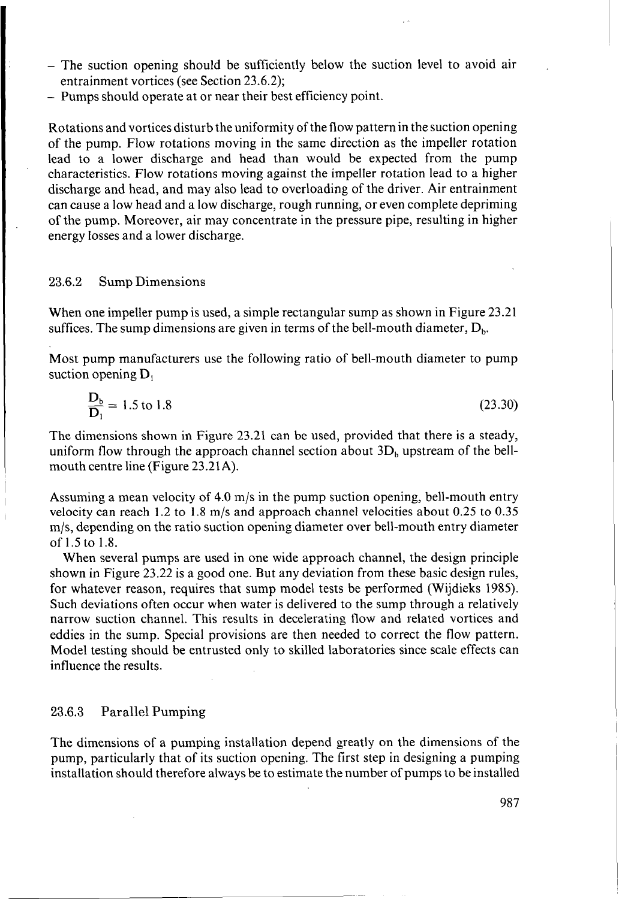- The suction opening should be sufficiently below the suction level to avoid air entrainment vortices (see Section 23.6.2);
- Pumps should operate at or near their best efficiency point.

Rotations and vortices disturb the uniformity of the flow pattern in the suction opening of the pump. Flow rotations moving in the same direction as the impeller rotation lead to a lower discharge and head than would be expected from the pump characteristics. Flow rotations moving against the impeller rotation lead to a higher discharge and head, and may also lead to overloading of the driver. Air entrainment can cause a low head and a low discharge, rough running, or even complete depriming of the pump. Moreover, air may concentrate in the pressure pipe, resulting in higher energy losses and a lower discharge.

#### **23.6.2** Sump Dimensions

When one impeller pump is used, a simple rectangular sump as shown in Figure 23.21 suffices. The sump dimensions are given in terms of the bell-mouth diameter,  $D_h$ .

Most pump manufacturers use the following ratio of bell-mouth diameter to pump suction opening  $D_1$ 

$$
\frac{D_b}{D_1} = 1.5 \text{ to } 1.8 \tag{23.30}
$$

The dimensions shown in Figure 23.21 can be used, provided that there is a steady, uniform flow through the approach channel section about  $3D<sub>b</sub>$  upstream of the bellmouth centre line (Figure 23.21A).

Assuming a mean velocity of 4.0 m/s in the pump suction opening, bell-mouth entry velocity can reach 1.2 to 1.8 m/s and approach channel velocities about 0.25 to 0.35 m/s, depending on the ratio suction opening diameter over bell-mouth entry diameter of 1.5 to 1.8.

When several pumps are used in one wide approach channel, the design principle shown in Figure 23.22 is a good one. But any deviation from these basic design rules, for whatever reason, requires that sump model tests be performed (Wijdieks 1985). Such deviations often occur when water is delivered to the sump through a relatively narrow suction channel. This results in decelerating flow and related vortices and eddies in the sump. Special provisions are then needed to correct the flow pattern. Model testing should be entrusted only to skilled laboratories since scale effects can influence the results.

#### **23.6.3** Parallel Pumping

The dimensions of a pumping installation depend greatly on the dimensions of the pump, particularly that of its suction opening. The first step in designing a pumping installation should therefore always be to estimate the number of pumps to be installed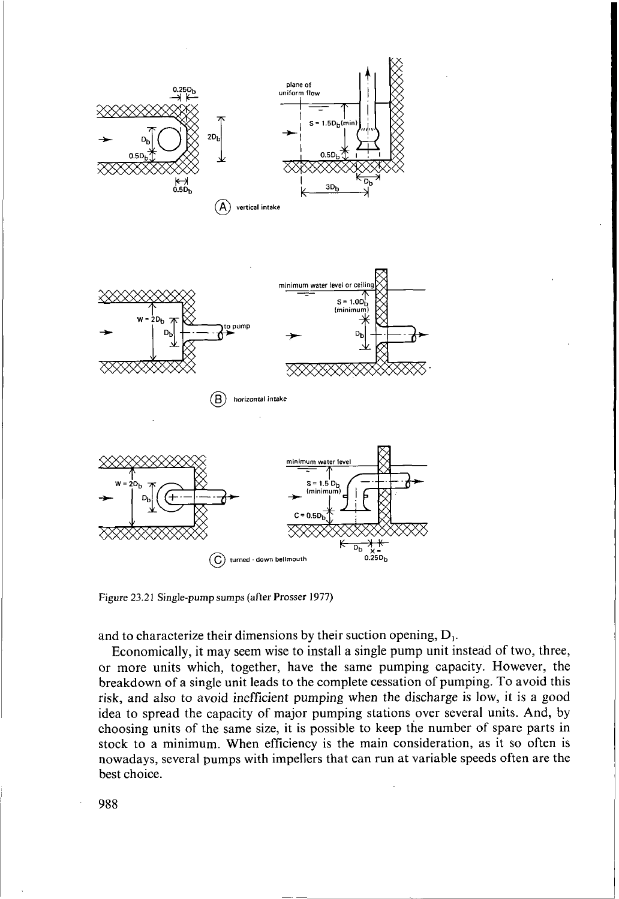

**Figure 23.21 Single-pump sumps (after Prosser 1977)** 

and to characterize their dimensions by their suction opening,  $D_1$ .

Economically, it may seem wise to install a single pump unit instead of two, three, or more units which, together, have the same pumping capacity. However, the breakdown of a single unit leads to the complete cessation of pumping. To avoid this risk, and also *to* avoid inefficient pumping when the discharge is low, it is a good idea to spread the capacity of major pumping stations over several units. And, by choosing units of the same size, it is possible to keep the number of spare parts in stock to a minimum. When efficiency is the main consideration, as it so often is nowadays, several pumps with impellers that can run at variable speeds often are the best choice.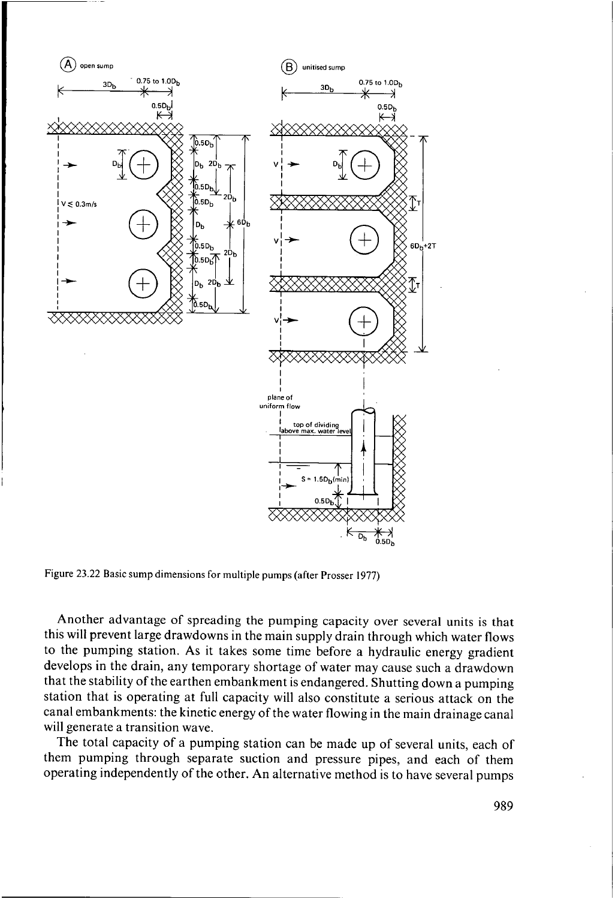

**Figure 23.22 Basic sump dimensions** for **multiple pumps (after Prosser 1977)** 

Another advantage of spreading the pumping capacity over several units is that this will prevent large drawdowns in the main supply drain through which water flows to the pumping station. **As** it takes some time before a hydraulic energy gradient develops in the drain, any temporary shortage of water may cause such a drawdown that the stability of the earthen embankment is endangered. Shutting down a pumping station that is operating at full capacity will also constitute a serious attack on the canal embankments: the kinetic energy of the water flowing in the main drainage canal will generate a transition wave.

The total capacity of a pumping station can be made up of several units, each of them pumping through separate suction and pressure pipes, and each of them operating independently of the other. An alternative method is to have several pumps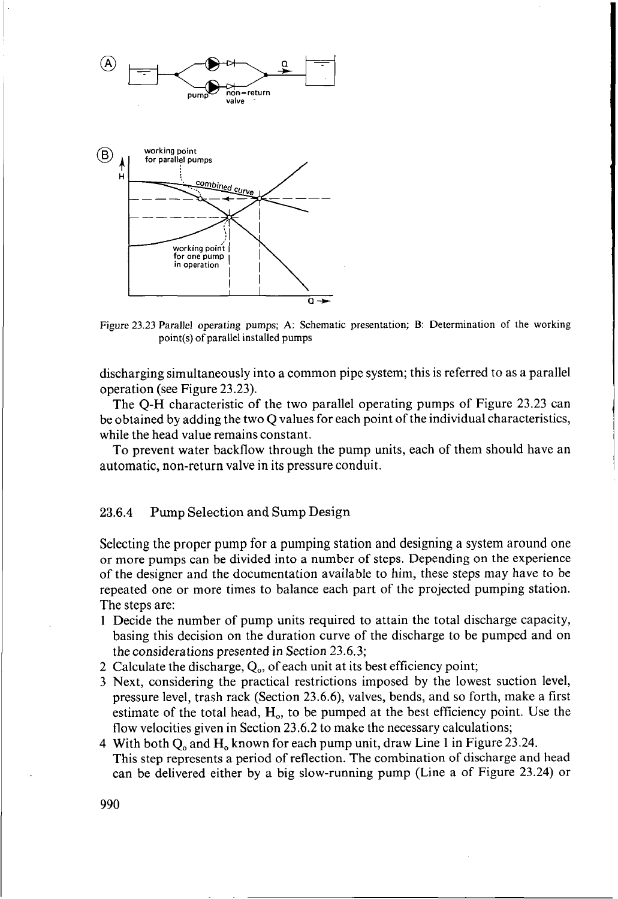

Figure 23.23 Parallel operating pumps; **A:** Schematic presentation; B: Determination of the working point(s) of parallel installed pumps

discharging simultaneously into a common pipe system; this is referred to as a parallel operation (see Figure 23.23).

The Q-H characteristic of the two parallel operating pumps of Figure 23.23 can be obtained by adding the two Q values for each point of the individual characteristics, while the head value remains constant.

To prevent water backflow through the pump units, each of them should have an automatic, non-return valve in its pressure conduit.

#### **23.6.4** Pump Selection and Sump Design

Selecting the proper pump for a pumping station and designing a system around one or more pumps can be divided into a number of steps. Depending on the experience of the designer and the documentation available to him, these steps may have to be repeated one or more times to balance each part of the projected pumping station. The steps are:

- **<sup>1</sup>**Decide the number of pump units required to attain the total discharge capacity, basing this decision on the duration curve of the discharge to be pumped and on the considerations presented in Section 23.6.3;
- 2 Calculate the discharge,  $Q_0$ , of each unit at its best efficiency point;
- 3 Next, considering the practical restrictions imposed by the lowest suction level, pressure level, trash rack (Section 23.6.6), valves, bends, and so forth, make a first estimate of the total head,  $H_0$ , to be pumped at the best efficiency point. Use the flow velocities given in Section 23.6.2 to make the necessary calculations;
- This step represents a period of reflection. The combination of discharge and head can be delivered either by a big slow-running pump (Line a of Figure 23.24) or 4 With both Q<sub>o</sub> and H<sub>o</sub> known for each pump unit, draw Line 1 in Figure 23.24.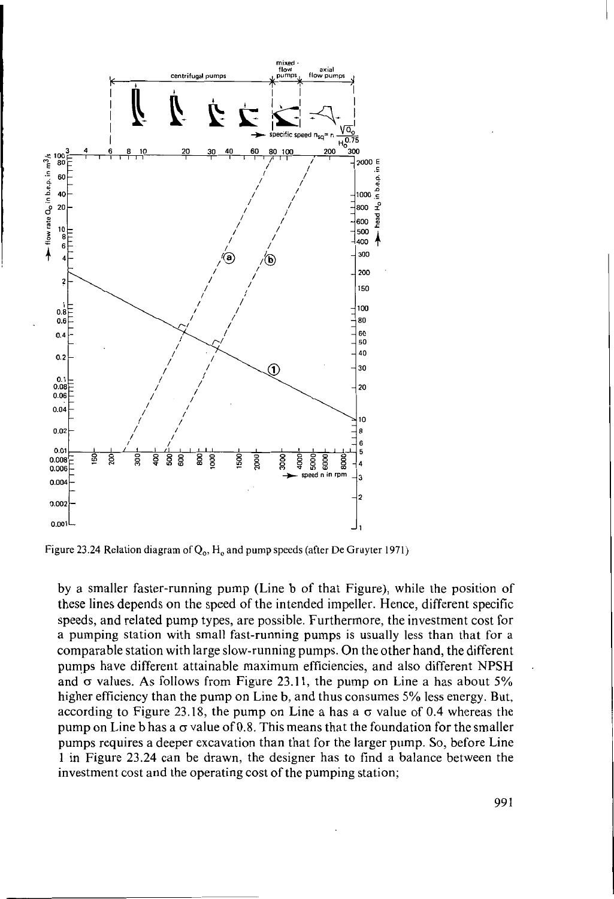

Figure 23.24 Relation diagram of Q<sub>o</sub>, H<sub>o</sub> and pump speeds (after De Gruyter 1971)

by a smaller faster-running pump (Line b of that Figure), while the position of these lines depends on the speed of the intended impeller. Hence, different specific speeds, and related pump types, are possible. Furthermore, the investment cost for a pumping station with small fast-running pumps is usually less than that for a comparable station with large slow-running pumps. On the other hand, the different pumps have different attainable maximum efficiencies, and also different NPSH and  $\sigma$  values. As follows from Figure 23.11, the pump on Line a has about 5% higher efficiency than the pump on Line b, and thus consumes *5%* less energy. But, according to Figure 23.18, the pump on Line a has a  $\sigma$  value of 0.4 whereas the pump on Line b has a *o* value of 0.8. This means that the foundation for the smaller pumps requires a deeper excavation than that for the larger pump. So, before Line 1 in Figure 23.24 can be drawn, the designer has to find a balance between the investment cost and the operating cost of the pumping station;

.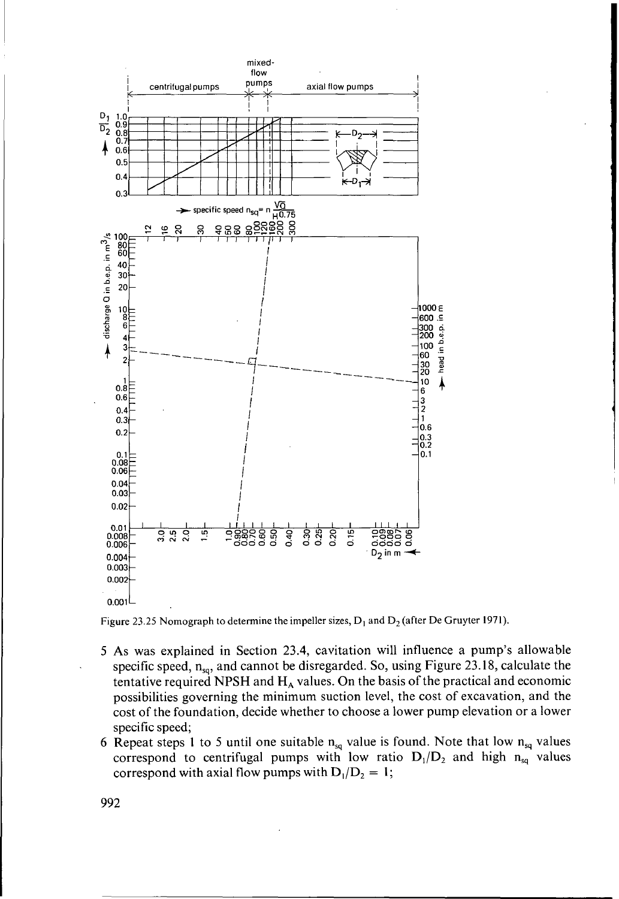

Figure 23.25 Nomograph to determine the impeller sizes,  $D_1$  and  $D_2$  (after De Gruyter 1971).

- 5 As was explained in Section 23.4, cavitation will influence a pump's allowable specific speed,  $n_{so}$ , and cannot be disregarded. So, using Figure 23.18, calculate the tentative required NPSH and H<sub>A</sub> values. On the basis of the practical and economic possibilities governing the minimum suction level, the cost of excavation, and the cost of the foundation, decide whether to choose a lower pump elevation or a lower specific speed;
- 6 Repeat steps 1 to 5 until one suitable  $n_{sq}$  value is found. Note that low  $n_{sq}$  values correspond to centrifugal pumps with low ratio  $D_1/D_2$  and high  $n_{sa}$  values correspond with axial flow pumps with  $D_1/D_2 = 1$ ;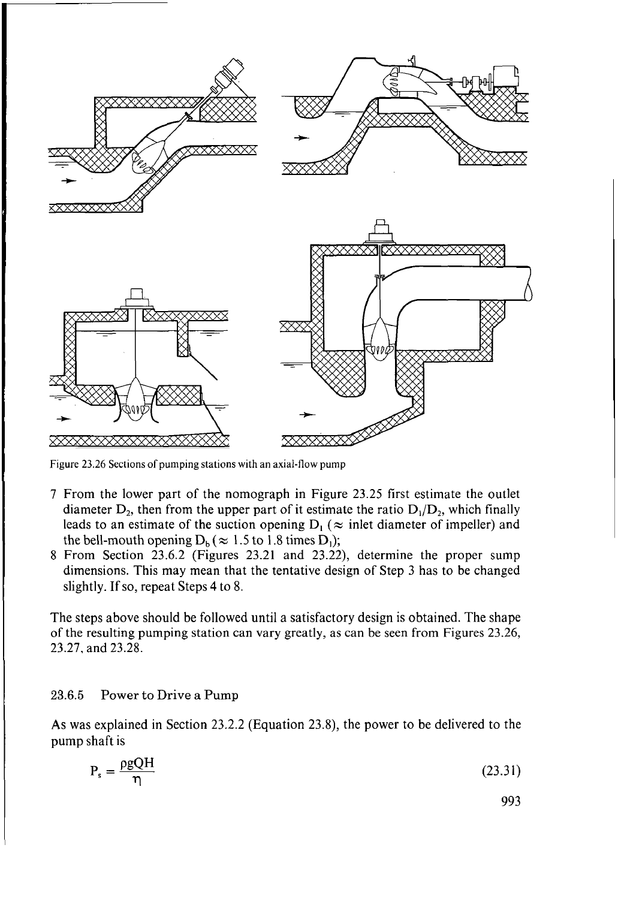

Figure 23.26 Sections of pumping stations with an axial-flow pump

- 7 From the lower part of the nomograph in Figure 23.25 first estimate the outlet diameter  $D_2$ , then from the upper part of it estimate the ratio  $D_1/D_2$ , which finally leads to an estimate of the suction opening  $D_i$  ( $\approx$  inlet diameter of impeller) and the bell-mouth opening  $D_b (\approx 1.5$  to 1.8 times D<sub>1</sub>);
- 8 From Section 23.6.2 (Figures 23.21 and 23.22), determine the proper sump dimensions. This may mean that the tentative design of Step 3 has to be changed slightly. If so, repeat Steps 4 to 8.

The steps above should be followed until a satisfactory design is obtained. The shape of the resulting pumping station can vary greatly, as can be seen from Figures 23.26, 23.27, and 23.28.

### **23.6.5** Power to Drive a Pump

**As** was explained in Section 23.2.2 (Equation 23.8), the power to be delivered to the pump shaft is Power to Drive a<br>explained in Section<br>haft is<br> $P_s = \frac{\rho g Q H}{\eta}$ 

$$
P_s = \frac{\rho g Q H}{\eta} \tag{23.31}
$$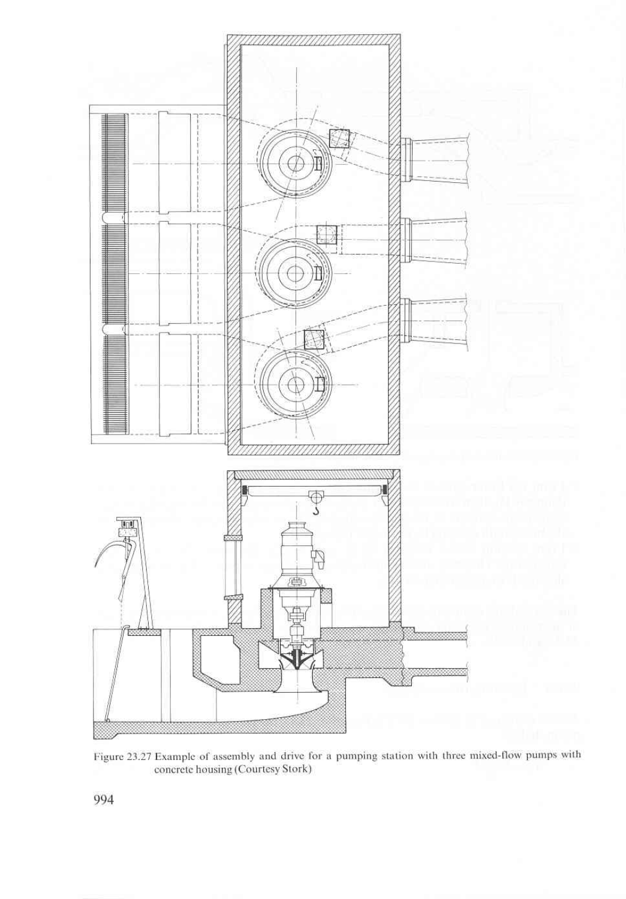

Figure 23.27 Example of assembly and drive for a pumping station with three mixed-flow pumps with concrete housing (Courtesy Stork)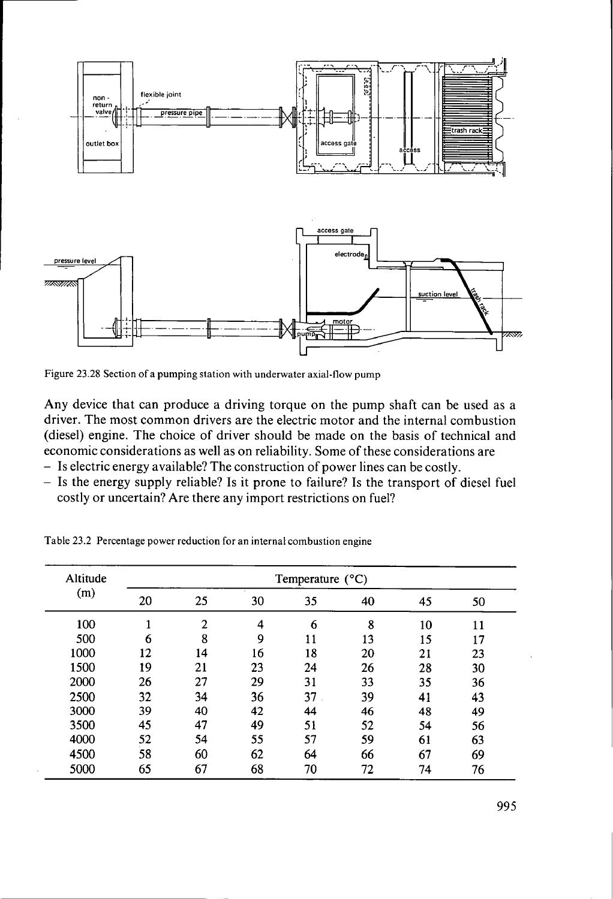

Figure 23.28 Section of a pumping station with underwater axial-flow **pump** 

Any device that can produce a driving torque on the pump shaft can be used as a driver. The most common drivers are the electric motor and the internal combustion (diesel) engine. The choice of driver should be made on the basis of technical and economic considerations as well as on reliability. Some of these considerations are

- Is electric energy available? The construction of power lines can be costly.
- Is the energy supply reliable? Is it prone to failure? Is the transport of diesel fuel costly or uncertain? Are there any import restrictions on fuel?

| Altitude<br>(m) | Temperature $(^{\circ}C)$ |    |    |    |    |    |    |
|-----------------|---------------------------|----|----|----|----|----|----|
|                 | 20                        | 25 | 30 | 35 | 40 | 45 | 50 |
| 100             |                           | 2  | 4  | 6  | 8  | 10 | 11 |
| 500             | 6                         | 8  | 9  | 11 | 13 | 15 | 17 |
| 1000            | 12                        | 14 | 16 | 18 | 20 | 21 | 23 |
| 1500            | 19                        | 21 | 23 | 24 | 26 | 28 | 30 |
| 2000            | 26                        | 27 | 29 | 31 | 33 | 35 | 36 |
| 2500            | 32                        | 34 | 36 | 37 | 39 | 41 | 43 |
| 3000            | 39                        | 40 | 42 | 44 | 46 | 48 | 49 |
| 3500            | 45                        | 47 | 49 | 51 | 52 | 54 | 56 |
| 4000            | 52                        | 54 | 55 | 57 | 59 | 61 | 63 |
| 4500            | 58                        | 60 | 62 | 64 | 66 | 67 | 69 |
| 5000            | 65                        | 67 | 68 | 70 | 72 | 74 | 76 |

Table 23.2 Percentage power reduction for an internal combustion engine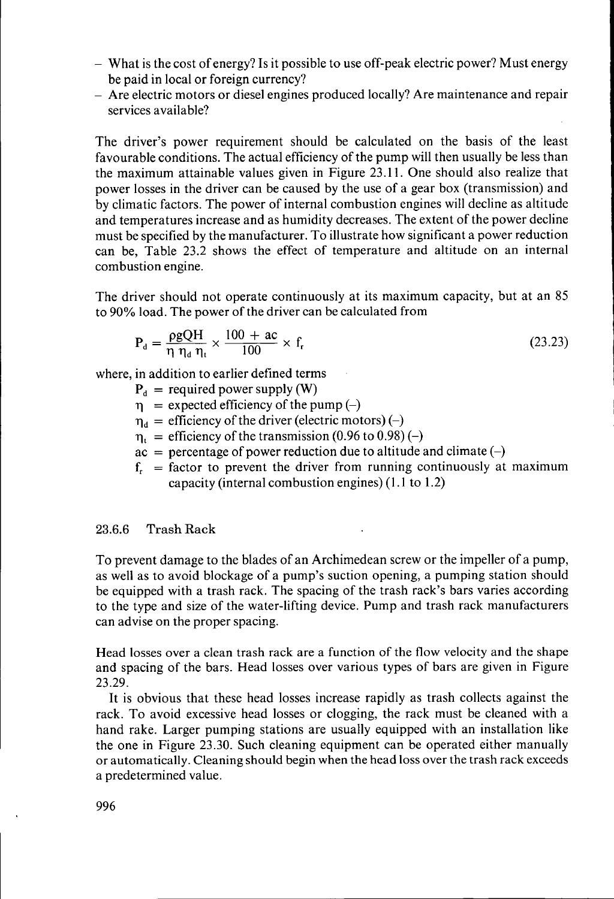- What is the cost of energy? Is it possible to use off-peak electric power? Must energy be paid in local or foreign currency?
- Are electric motors or diesel engines produced locally? Are maintenance and repair services available?

The driver's power requirement should be calculated on the basis of the least favourable conditions. The actual efficiency of the pump will then usually be less than the maximum attainable values given in Figure 23.11. One should also realize that power losses in the driver can be caused by the use of a gear box (transmission) and by climatic factors. The power of internal combustion engines will decline as altitude and temperatures increase and as humidity decreases. The extent of the power decline must be specified by the manufacturer. To illustrate how significant a power reduction can be, Table 23.2 shows the effect of temperature and altitude on an internal combustion engine.

The driver should not operate continuously at its maximum capacity, but at an 85 to 90% load. The power of the driver can be calculated from

$$
P_d = \frac{\rho g Q H}{\eta \eta_d \eta_t} \times \frac{100 + ac}{100} \times f_r
$$
 (23.23)

where, in addition to earlier defined terms

 $P_d$  = required power supply (W)

- $\eta$  = expected efficiency of the pump (-)
- $\eta_d$  = efficiency of the driver (electric motors) (-)
- $\eta_1 =$  efficiency of the transmission (0.96 to 0.98) (-)
- $ac =$  percentage of power reduction due to altitude and climate  $(-)$
- $f<sub>r</sub>$  = factor to prevent the driver from running continuously at maximum capacity (internal combustion engines) (1.1 to 1.2)

# **23.6.6** Trash Rack

To prevent damage to the blades of an Archimedean screw or the impeller of a pump, as well as to avoid blockage of a pump's suction opening, a pumping station should be equipped with a trash rack. The spacing of the trash rack's bars varies according to the type and size of the water-lifting device. Pump and trash rack manufacturers can advise on the proper spacing.

Head losses over a clean trash rack are a function of the flow velocity and the shape and spacing of the bars. Head losses over various types of bars are given in Figure 23.29.

It is obvious that these head losses increase rapidly as trash collects against the rack. To avoid excessive head losses or clogging, the rack must be cleaned with a hand rake. Larger pumping stations are usually equipped with an installation like the one in Figure 23.30. Such cleaning equipment can be operated either manually or automatically. Cleaning should begin when the head loss over the trash rack exceeds a predetermined value.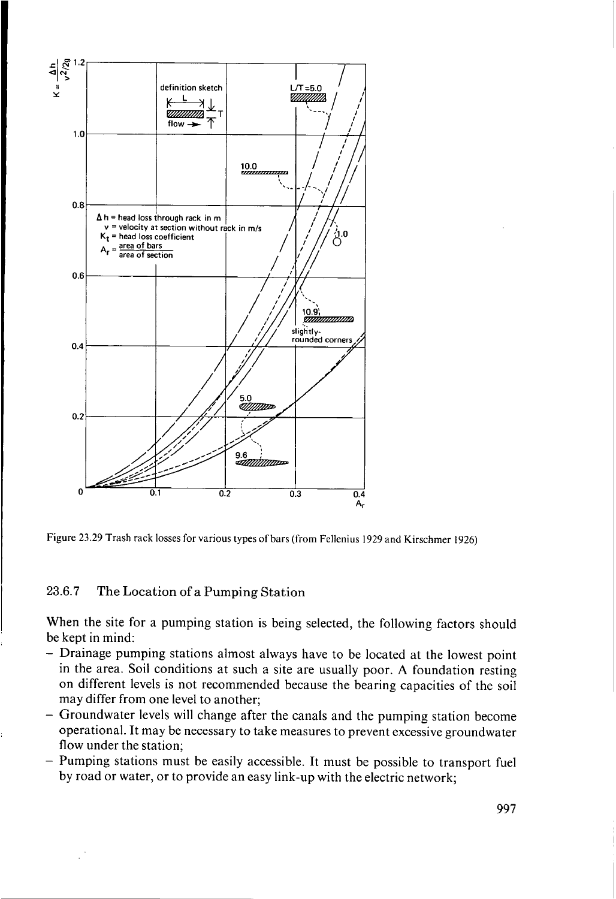



#### **23.6.7** The Location of a Pumping Station

When the site for a pumping station is being selected, the following factors should be kept in mind:

- Drainage pumping stations almost always have to be located at the lowest point in the area. Soil conditions at such a site are usually poor. **A** foundation resting on different levels is not recommended because the bearing capacities of the soil may differ from one level to another;
- Groundwater levels will change after the canals and the pumping station become operational. It may be necessary to take measures to prevent excessive groundwater flow under the station;
- Pumping stations must be easily accessible. It must be possible to transport fuel by road or water, or to provide an easy link-up with the electric network;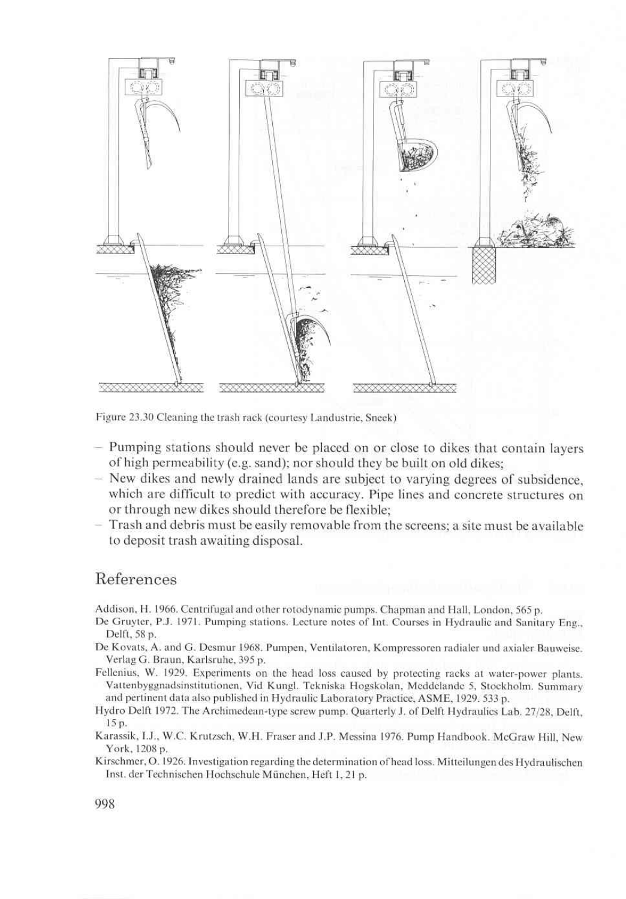

Figure 23.30 Cleaning the trash rack (courtesy Landustrie, Sneek)

- Pumping stations should never be placed on or close to dikes that contain layers of high permeability (e.g. sand); nor should they be built on old dikes;
- New dikes and newly drained lands are subject to varying degrees of subsidence, which are difficult to predict with accuracy. Pipe lines and concrete structures on or through new dikes should therefore be flexible;
- Trash and debris must be easily removable from the screens; a site must be available to deposit trash awaiting disposal.

### References

Addison, H. 1966. Centrifugal and other rotodynamic pumps. Chapman and Hall, London, 565 p.

- De Gruyter, P.J. 1971. Pumping stations. Lecture notes of Int. Courses in Hydraulic and Sanitary Eng., Delft, 58 p.
- De Kovats, A. and G. Desmur 1968. Pumpen, Ventilatoren, Kompressoren radialer und axialer Bauweise. Verlag G. Braun, Karlsruhe, 395 p.
- Fellenius, W. 1929. Experiments on the head loss caused by protecting racks at water-power plants. Vattenbyggnadsinstitutionen, Vid Kungl. Tekniska Hogskolan, Meddelande 5, Stockholm. Summary and pertinent data also published in Hydraulic Laboratory Practice, ASME, 1929. 533 p.
- Hydro Delft 1972. The Archimedean-type screw pump. Quarterly J. of Delft Hydraulics Lab. 27/28, Delft,  $15p.$
- Karassik, I.J., W.C. Krutzsch, W.H. Fraser and J.P. Messina 1976. Pump Handbook. McGraw Hill, New York, 1208 p.
- Kirschmer, O. 1926. Investigation regarding the determination of head loss. Mitteilungen des Hydraulischen Inst. der Technischen Hochschule München, Heft 1, 21 p.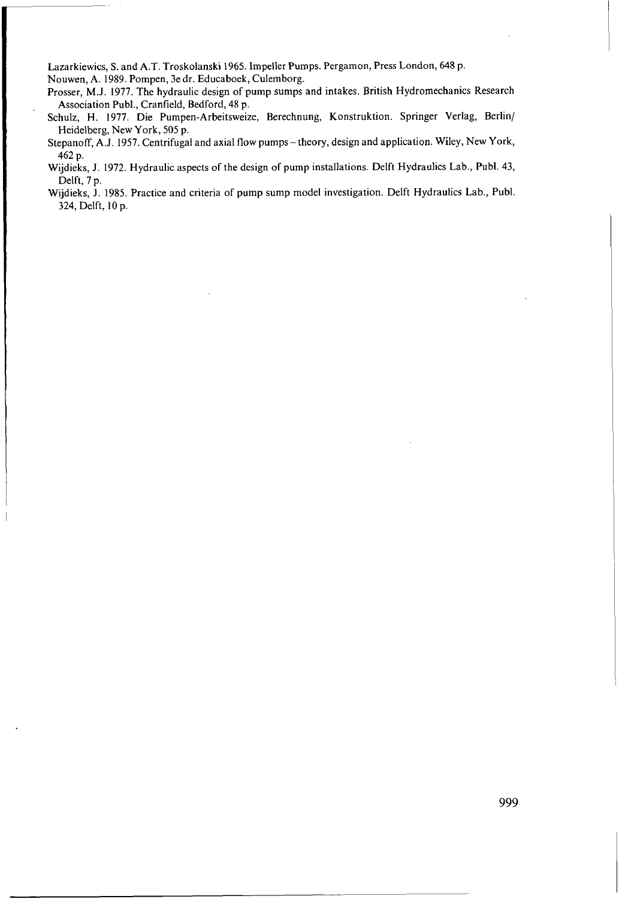Lazarkiewics, **S.** and **A.T.** Troskolanski 1965. Impeller Pumps. Pergamon, Press London, 648 **p.**  Nouwen, **A.** 1989. Pompen, 3e dr. Educaboek, Culemborg.

Prosser, M.J. 1977. The hydraulic design of pump sumps and intakes. British Hydromechanics Research Association Publ., Cranfield, Bedford, 48 p.

Schulz, H. 1977. Die Pumpen-Arbeitsweize, Berechnung, Konstruktion. Springer Verlag, Berlin/ Heidelberg, New **York,** 505 **p.** 

Stepanoff, **A.J.** 1957. Centrifugal and axial flow pumps- theory, design and application. Wiley, New York, 462 p.

Wijdieks, J. 1972. Hydraulic aspects of the design of pump installations. Delft Hydraulics Lab., Publ. 43, Delft, 7 **p.** 

Wijdieks, **J.** 1985. Practice and criteria of pump sump model investigation. Delft Hydraulics Lab., Publ. 324, Delft, IO **p.**